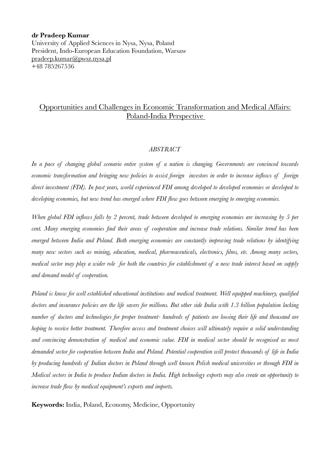#### **dr Pradeep Kumar**

University of Applied Sciences in Nysa, Nysa, Poland President, Indo-European Education Foundation, Warsaw [pradeep.kumar@pwsz.nysa.pl](mailto:pradeep.kumar@pwsz.nysa.pl) +48 785267536

### Opportunities and Challenges in Economic Transformation and Medical Affairs: Poland-India Perspective

### *ABSTRACT*

*In a pace of changing global scenario entire system of a nation is changing. Governments are convinced towards economic transformation and bringing new policies to assist foreign investors in order to increase inflows of foreign direct investment (FDI). In past years, world experienced FDI among developed to developed economies or developed to developing economies, but new trend has emerged where FDI flow goes between emerging to emerging economies.* 

*When global FDI inflows falls by 2 percent, trade between developed to emerging economies are increasing by 5 per cent. Many emerging economies find their areas of cooperation and increase trade relations. Similar trend has been emerged between India and Poland. Both emerging economies are constantly improving trade relations by identifying many new sectors such as mining, education, medical, pharmaceuticals, electronics, films, etc. Among many sectors, medical sector may play a wider role for both the countries for establishment of a new trade interest based on supply and demand model of cooperation.* 

*Poland is know for well established educational institutions and medical treatment. Well equipped machinery, qualified doctors and insurance policies are the life savers for millions. But other side India with 1.3 billion population lacking number of doctors and technologies for proper treatment- hundreds of patients are loosing their life and thousand are hoping to receive better treatment. Therefore access and treatment choices will ultimately require a solid understanding and convincing demonstration of medical and economic value. FDI in medical sector should be recognised as most demanded sector for cooperation between India and Poland. Potential cooperation will protect thousands of life in India by producing hundreds of Indian doctors in Poland through well known Polish medical universities or through FDI in Medical sectors in India to produce Indian doctors in India. High technology exports may also create an opportunity to increase trade flow by medical equipment's exports and imports.* 

**Keywords:** India, Poland, Economy, Medicine, Opportunity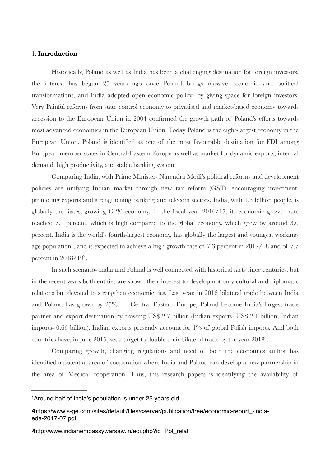### 1. **Introduction**

Historically, Poland as well as India has been a challenging destination for foreign investors, the interest has begun 25 years ago once Poland brings massive economic and political transformations, and India adopted open economic policy- by giving space for foreign investors. Very Painful reforms from state control economy to privatised and market-based economy towards accession to the European Union in 2004 confirmed the growth path of Poland's efforts towards most advanced economies in the European Union. Today Poland is the eight-largest economy in the European Union. Poland is identified as one of the most favourable destination for FDI among European member states in Central-Eastern Europe as well as market for dynamic exports, internal demand, high productivity, and stable banking system.

Comparing India, with Prime Minister- Narendra Modi's political reforms and development policies are unifying Indian market through new tax reform (GST), encouraging investment, promoting exports and strengthening banking and telecom sectors. India, with 1.3 billion people, is globally the fastest-growing G-20 economy. In the fiscal year 2016/17, its economic growth rate reached 7.1 percent, which is high compared to the global economy, which grew by around 3.0 percent. India is the world's fourth-largest economy, has globally the largest and youngest working-age population<sup>[1](#page-1-0)</sup>, and is expected to achieve a high growth rate of 7.3 percent in 2017/18 and of 7.7 percent in  $2018/19^2$  $2018/19^2$ .

<span id="page-1-4"></span><span id="page-1-3"></span>In such scenario- India and Poland is well connected with historical facts since centuries, but in the recent years both entities are shown their interest to develop not only cultural and diplomatic relations but devoted to strengthen economic ties. Last year, in 2016 bilateral trade between India and Poland has grown by 25%. In Central Eastern Europe, Poland become India's largest trade partner and export destination by crossing US\$ 2.7 billion (Indian exports- US\$ 2.1 billion; Indian imports- 0.66 billion). Indian exports presently account for 1% of global Polish imports. And both countries have, in June 2015, set a target to double their bilateral trade by the year  $2018<sup>3</sup>$  $2018<sup>3</sup>$  $2018<sup>3</sup>$ .

<span id="page-1-5"></span>Comparing growth, changing regulations and need of both the economies author has identified a potential area of cooperation where India and Poland can develop a new partnership in the area of Medical cooperation. Thus, this research papers is identifying the availability of

<span id="page-1-0"></span><sup>&</sup>lt;sup>[1](#page-1-3)</sup> Around half of India's population is under 25 years old.

<span id="page-1-1"></span>[https://www.s-ge.com/sites/default/files/cserver/publication/free/economic-report\\_-india-](https://www.s-ge.com/sites/default/files/cserver/publication/free/economic-report_-india-eda-2017-07.pdf) [2](#page-1-4) eda-2017-07.pdf

<span id="page-1-2"></span>[http://www.indianembassywarsaw.in/eoi.php?id=Pol\\_relat](http://www.indianembassywarsaw.in/eoi.php?id=Pol_relat) [3](#page-1-5)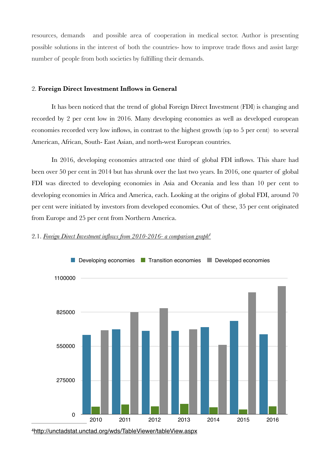resources, demands and possible area of cooperation in medical sector. Author is presenting possible solutions in the interest of both the countries- how to improve trade flows and assist large number of people from both societies by fulfilling their demands.

### 2. **Foreign Direct Investment Inflows in General**

It has been noticed that the trend of global Foreign Direct Investment (FDI) is changing and recorded by 2 per cent low in 2016. Many developing economies as well as developed european economies recorded very low inflows, in contrast to the highest growth (up to 5 per cent) to several American, African, South- East Asian, and north-west European countries.

In 2016, developing economies attracted one third of global FDI inflows. This share had been over 50 per cent in 2014 but has shrunk over the last two years. In 2016, one quarter of global FDI was directed to developing economies in Asia and Oceania and less than 10 per cent to developing economies in Africa and America, each. Looking at the origins of global FDI, around 70 per cent were initiated by investors from developed economies. Out of these, 35 per cent originated from Europe and 25 per cent from Northern America.

<span id="page-2-1"></span>

#### 2.1. *Foreign Direct Investment inflows from 2010-2016- a comparison grap[h4](#page-2-0)*

<span id="page-2-0"></span><http://unctadstat.unctad.org/wds/TableViewer/tableView.aspx> [4](#page-2-1)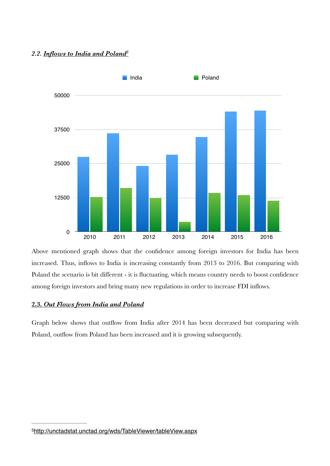### *2.2. Inflows to India and Polan[d5](#page-3-0)*

<span id="page-3-1"></span>

Above mentioned graph shows that the confidence among foreign investors for India has been increased. Thus, inflows to India is increasing constantly from 2013 to 2016. But comparing with Poland the scenario is bit different - it is fluctuating, which means country needs to boost confidence among foreign investors and bring many new regulations in order to increase FDI inflows.

### **2.3.** *Out Flows from India and Poland*

Graph below shows that outflow from India after 2014 has been decreased but comparing with Poland, outflow from Poland has been increased and it is growing subsequently.

<span id="page-3-0"></span><sup>5</sup><http://unctadstat.unctad.org/wds/TableViewer/tableView.aspx>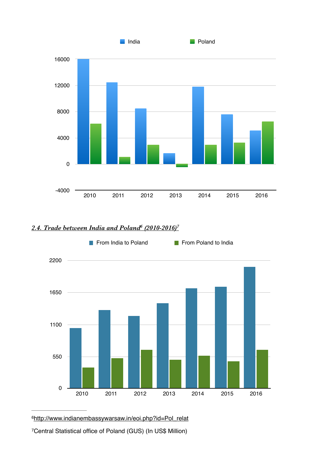

## *2.4. Trade between India and Polan[d](#page-4-0) (2010-2016) <sup>6</sup> [7](#page-4-1)*

<span id="page-4-3"></span><span id="page-4-2"></span>

<span id="page-4-0"></span>[http://www.indianembassywarsaw.in/eoi.php?id=Pol\\_relat](http://www.indianembassywarsaw.in/eoi.php?id=Pol_relat)

<span id="page-4-1"></span>Central Statistical office of Poland (GUS) (In US\$ Million)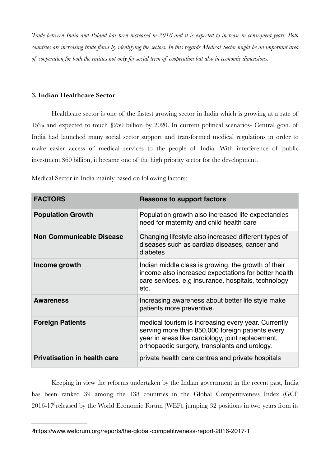*Trade between India and Poland has been increased in 2016 and it is expected to increase in consequent years. Both countries are increasing trade flows by identifying the sectors. In this regards Medical Sector might be an important area of cooperation for both the entities not only for social term of cooperation but also in economic dimensions.* 

### **3. Indian Healthcare Sector**

Healthcare sector is one of the fastest growing sector in India which is growing at a rate of 15% and expected to touch \$250 billion by 2020. In current political scenarios- Central govt. of India had launched many social sector support and transformed medical regulations in order to make easier access of medical services to the people of India. With interference of public investment \$60 billion, it became one of the high priority sector for the development.

Medical Sector in India mainly based on following factors:

| <b>FACTORS</b>                      | <b>Reasons to support factors</b>                                                                                                                                                                             |
|-------------------------------------|---------------------------------------------------------------------------------------------------------------------------------------------------------------------------------------------------------------|
| <b>Population Growth</b>            | Population growth also increased life expectancies-<br>need for maternity and child health care                                                                                                               |
| <b>Non Communicable Disease</b>     | Changing lifestyle also increased different types of<br>diseases such as cardiac diseases, cancer and<br>diabetes                                                                                             |
| Income growth                       | Indian middle class is growing. the growth of their<br>income also increased expectations for better health<br>care services. e.g insurance, hospitals, technology<br>etc.                                    |
| <b>Awareness</b>                    | Increasing awareness about better life style make<br>patients more preventive.                                                                                                                                |
| <b>Foreign Patients</b>             | medical tourism is increasing every year. Currently<br>serving more than 850,000 foreign patients every<br>year in areas like cardiology, joint replacement,<br>orthopaedic surgery, transplants and urology. |
| <b>Privatisation in health care</b> | private health care centres and private hospitals                                                                                                                                                             |

Keeping in view the reforms undertaken by the Indian government in the recent past, India has been ranked 39 among the 138 countries in the Global Competitiveness Index (GCI)  $2016-17<sup>8</sup>$  $2016-17<sup>8</sup>$  $2016-17<sup>8</sup>$  released by the World Economic Forum (WEF), jumping 32 positions in two years from its

<span id="page-5-1"></span><span id="page-5-0"></span>[<sup>8</sup>](#page-5-1)<https://www.weforum.org/reports/the-global-competitiveness-report-2016-2017-1>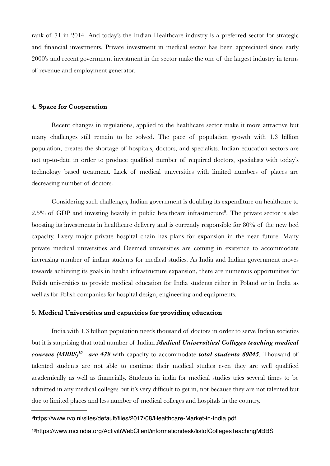rank of 71 in 2014. And today's the Indian Healthcare industry is a preferred sector for strategic and financial investments. Private investment in medical sector has been appreciated since early 2000's and recent government investment in the sector make the one of the largest industry in terms of revenue and employment generator.

### **4. Space for Cooperation**

Recent changes in regulations, applied to the healthcare sector make it more attractive but many challenges still remain to be solved. The pace of population growth with 1.3 billion population, creates the shortage of hospitals, doctors, and specialists. Indian education sectors are not up-to-date in order to produce qualified number of required doctors, specialists with today's technology based treatment. Lack of medical universities with limited numbers of places are decreasing number of doctors.

<span id="page-6-2"></span>Considering such challenges, Indian government is doubling its expenditure on healthcare to  $2.5\%$  of GDP and investing heavily in public healthcare infrastructure<sup>[9](#page-6-0)</sup>. The private sector is also boosting its investments in healthcare delivery and is currently responsible for 80% of the new bed capacity. Every major private hospital chain has plans for expansion in the near future. Many private medical universities and Deemed universities are coming in existence to accommodate increasing number of indian students for medical studies. As India and Indian government moves towards achieving its goals in health infrastructure expansion, there are numerous opportunities for Polish universities to provide medical education for India students either in Poland or in India as well as for Polish companies for hospital design, engineering and equipments.

### **5. Medical Universities and capacities for providing education**

<span id="page-6-3"></span>India with 1.3 billion population needs thousand of doctors in order to serve Indian societies but it is surprising that total number of Indian *Medical Universities/ Colleges teaching medical courses (MBBS[\)](#page-6-1)<sup>10</sup> are 479* with capacity to accommodate *total students 60845*. Thousand of talented students are not able to continue their medical studies even they are well qualified academically as well as financially. Students in india for medical studies tries several times to be admitted in any medical colleges but it's very difficult to get in, not because they are not talented but due to limited places and less number of medical colleges and hospitals in the country.

#### <span id="page-6-0"></span>9<https://www.rvo.nl/sites/default/files/2017/08/Healthcare-Market-in-India.pdf>

<span id="page-6-1"></span>[10](#page-6-3)<https://www.mciindia.org/ActivitiWebClient/informationdesk/listofCollegesTeachingMBBS>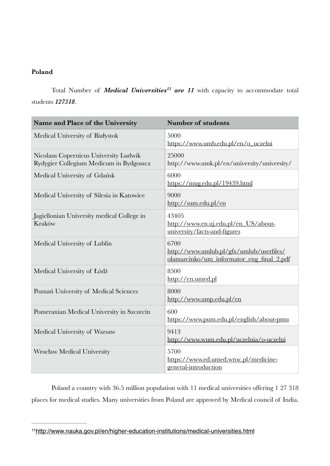### **Poland**

<span id="page-7-1"></span>Total Number of *Medical Univer[s](#page-7-0)ities<sup>11</sup> are 11* with capacity to accommodate total students *127318*.

| Name and Place of the University                                                 | <b>Number of students</b>                                                                     |
|----------------------------------------------------------------------------------|-----------------------------------------------------------------------------------------------|
| Medical University of Białystok                                                  | 5000<br>https://www.umb.edu.pl/en/o_uczelni                                                   |
| Nicolaus Copernicus University Ludwik<br>Rydygier Collegium Medicum in Bydgoszcz | 25000<br>http://www.umk.pl/en/university/university/                                          |
| Medical University of Gdańsk                                                     | 6000<br>https://mug.edu.pl/19439.html                                                         |
| Medical University of Silesia in Katowice                                        | 9000<br>http://sum.edu.pl/en                                                                  |
| Jagiellonian University medical College in<br>Kraków                             | 43405<br>http://www.en.uj.edu.pl/en_US/about-<br>university/facts-and-figures                 |
| Medical University of Lublin                                                     | 6700<br>http://www.umlub.pl/gfx/umlub/userfiles/<br>olamarcinko/um_informator_eng_final_2.pdf |
| Medical University of Łódź                                                       | 8500<br>http://en.umed.pl                                                                     |
| Poznań University of Medical Sciences                                            | 8000<br>http://www.ump.edu.pl/en                                                              |
| Pomeranian Medical University in Szczecin                                        | 600<br>https://www.pum.edu.pl/english/about-pmu                                               |
| Medical University of Warsaw                                                     | 9413<br>http://www.wum.edu.pl/uczelnia/o-uczelni                                              |
| <b>Wrocław Medical University</b>                                                | 5700<br>https://www.ed.umed.wroc.pl/medicine-<br>general-introduction                         |

Poland a country with 36.5 million population with 11 medical universities offering 1 27 318 places for medical studies. Many universities from Poland are approved by Medical council of India.

<span id="page-7-0"></span><http://www.nauka.gov.pl/en/higher-education-institutions/medical-universities.html> [11](#page-7-1)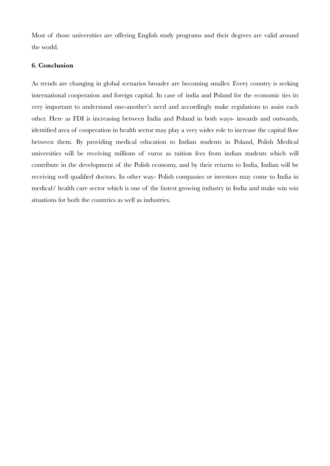Most of those universities are offering English study programs and their degrees are valid around the world.

### **6. Conclusion**

As trends are changing in global scenarios broader are becoming smaller. Every country is seeking international cooperation and foreign capital. In case of india and Poland for the economic ties its very important to understand one-another's need and accordingly make regulations to assist each other. Here as FDI is increasing between India and Poland in both ways- inwards and outwards, identified area of cooperation in health sector may play a very wider role to increase the capital flow between them. By providing medical education to Indian students in Poland, Polish Medical universities will be receiving millions of euros as tuition fees from indian students which will contribute in the development of the Polish economy, and by their returns to India, Indian will be receiving well qualified doctors. In other way- Polish companies or investors may come to India in medical/ health care sector which is one of the fastest growing industry in India and make win win situations for both the countries as well as industries.